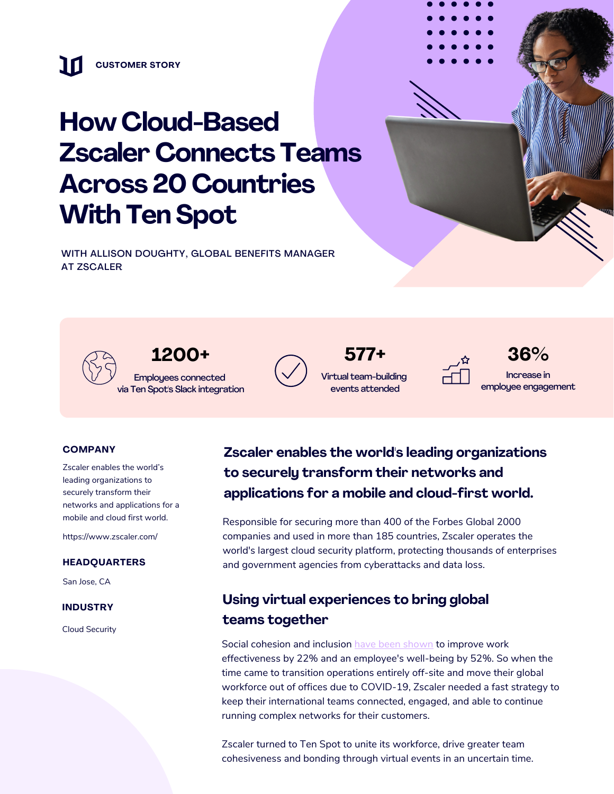# **How Cloud-Bsed Zscaler Connects Teams Across 20 Countries With TenSpot**

WITH ALLISON DOUGHTY, GLOBAL BENEFITS MANAGER AT ZSCALER

> **1200+** Employees connected via Ten Spot's Slack integration



Virtual team-building events attended



**. . . . . . . . . . . . . . . . . . . . . . . . . . . . . .**

**577+ 36%** Increase in employee enggement

#### **COMPANY**

Zscaler enables the world's leading organizations to securely transform their networks and applications for a mobile and cloud first world.

https://www.zscaler.com/

#### **HEADQUARTERS**

San Jose, CA

#### **INDUSTRY**

Cloud Security

### **Zscaler enables the world's leading organizations**  $to$  **securely** *transform their networks* and **happlications for a mobile and cloud-first world.**

Responsible for securing more than 400 of the Forbes Global 2000 companies and used in more than 185 countries, Zscaler operates the world's largest cloud security platform, protecting thousands of enterprises and government agencies from cyberattacks and data loss.

### **Using virtual experiences to bring global tems together**

Social cohesion and inclusion have been [shown](https://www.mckinsey.com/business-functions/organization/our-insights/covid-19-and-the-employee-experience-how-leaders-can-seize-the-moment) to improve work effectiveness by 22% and an employee's well-being by 52%. So when the time came to transition operations entirely off-site and move their global workforce out of offices due to COVID-19, Zscaler needed a fast strategy to keep their international teams connected, engaged, and able to continue running complex networks for their customers.

Zscaler turned to Ten Spot to unite its workforce, drive greater team cohesiveness and bonding through virtual events in an uncertain time.